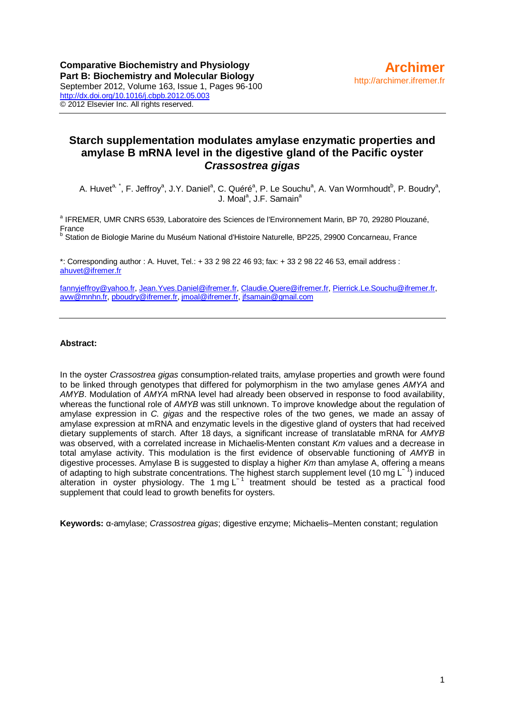# **Starch supplementation modulates amylase enzymatic properties and amylase B mRNA level in the digestive gland of the Pacific oyster**  *Crassostrea gigas*

A. Huvet<sup>a, \*</sup>, F. Jeffroy<sup>a</sup>, J.Y. Daniel<sup>a</sup>, C. Quéré<sup>a</sup>, P. Le Souchu<sup>a</sup>, A. Van Wormhoudt<sup>b</sup>, P. Boudry<sup>a</sup>, J. Moal<sup>a</sup>, J.F. Samain<sup>a</sup>

<sup>a</sup> IFREMER, UMR CNRS 6539, Laboratoire des Sciences de l'Environnement Marin, BP 70, 29280 Plouzané, France

b Station de Biologie Marine du Muséum National d'Histoire Naturelle, BP225, 29900 Concarneau, France

\*: Corresponding author : A. Huvet, Tel.: + 33 2 98 22 46 93; fax: + 33 2 98 22 46 53, email address : [ahuvet@ifremer.fr](mailto:ahuvet@ifremer.fr)

[fannyjeffroy@yahoo.fr,](mailto:fannyjeffroy@yahoo.fr) [Jean.Yves.Daniel@ifremer.fr,](mailto:Jean.Yves.Daniel@ifremer.fr) [Claudie.Quere@ifremer.fr,](mailto:Claudie.Quere@ifremer.fr) [Pierrick.Le.Souchu@ifremer.fr,](mailto:Pierrick.Le.Souchu@ifremer.fr) [avw@mnhn.fr,](mailto:avw@mnhn.fr) [pboudry@ifremer.fr,](mailto:pboudry@ifremer.fr) [jmoal@ifremer.fr,](mailto:jmoal@ifremer.fr) [jfsamain@gmail.com](mailto:jfsamain@gmail.com)

#### **Abstract:**

In the oyster *Crassostrea gigas* consumption-related traits, amylase properties and growth were found to be linked through genotypes that differed for polymorphism in the two amylase genes *AMYA* and *AMYB*. Modulation of *AMYA* mRNA level had already been observed in response to food availability, whereas the functional role of *AMYB* was still unknown. To improve knowledge about the regulation of amylase expression in *C. gigas* and the respective roles of the two genes, we made an assay of amylase expression at mRNA and enzymatic levels in the digestive gland of oysters that had received dietary supplements of starch. After 18 days, a significant increase of translatable mRNA for *AMYB* was observed, with a correlated increase in Michaelis-Menten constant *Km* values and a decrease in total amylase activity. This modulation is the first evidence of observable functioning of *AMYB* in digestive processes. Amylase B is suggested to display a higher *Km* than amylase A, offering a means of adapting to high substrate concentrations. The highest starch supplement level (10 mg L<sup>−1</sup>) induced alteration in oyster physiology. The 1 mg L<sup>-1</sup> treatment should be tested as a practical food supplement that could lead to growth benefits for oysters.

**Keywords:** α-amylase; *Crassostrea gigas*; digestive enzyme; Michaelis–Menten constant; regulation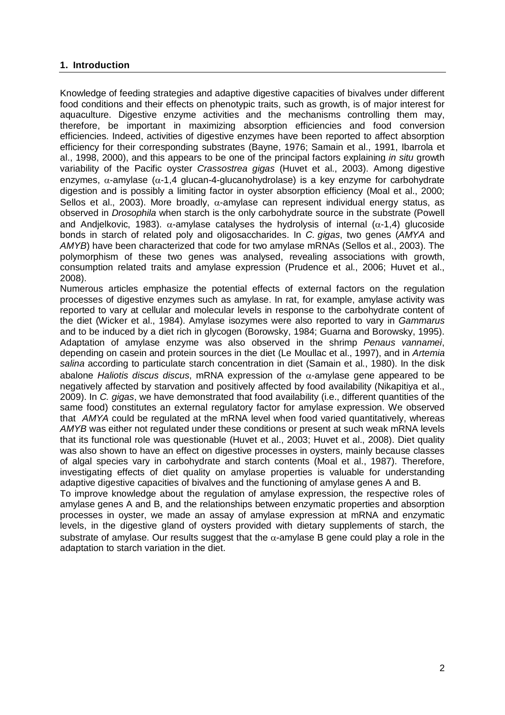# **1. Introduction**

Knowledge of feeding strategies and adaptive digestive capacities of bivalves under different food conditions and their effects on phenotypic traits, such as growth, is of major interest for aquaculture. Digestive enzyme activities and the mechanisms controlling them may, therefore, be important in maximizing absorption efficiencies and food conversion efficiencies. Indeed, activities of digestive enzymes have been reported to affect absorption efficiency for their corresponding substrates (Bayne, 1976; Samain et al., 1991, Ibarrola et al., 1998, 2000), and this appears to be one of the principal factors explaining *in situ* growth variability of the Pacific oyster *Crassostrea gigas* (Huvet et al., 2003). Among digestive enzymes,  $\alpha$ -amylase ( $\alpha$ -1,4 glucan-4-glucanohydrolase) is a key enzyme for carbohydrate digestion and is possibly a limiting factor in oyster absorption efficiency (Moal et al., 2000; Sellos et al., 2003). More broadly,  $α$ -amylase can represent individual energy status, as observed in *Drosophila* when starch is the only carbohydrate source in the substrate (Powell and Andjelkovic, 1983).  $\alpha$ -amylase catalyses the hydrolysis of internal ( $\alpha$ -1,4) glucoside bonds in starch of related poly and oligosaccharides. In *C. gigas*, two genes (*AMYA* and *AMYB*) have been characterized that code for two amylase mRNAs (Sellos et al., 2003). The polymorphism of these two genes was analysed, revealing associations with growth, consumption related traits and amylase expression (Prudence et al., 2006; Huvet et al., 2008).

Numerous articles emphasize the potential effects of external factors on the regulation processes of digestive enzymes such as amylase. In rat, for example, amylase activity was reported to vary at cellular and molecular levels in response to the carbohydrate content of the diet (Wicker et al., 1984). Amylase isozymes were also reported to vary in *Gammarus* and to be induced by a diet rich in glycogen (Borowsky, 1984; Guarna and Borowsky, 1995). Adaptation of amylase enzyme was also observed in the shrimp *Penaus vannamei*, depending on casein and protein sources in the diet (Le Moullac et al., 1997), and in *Artemia salina* according to particulate starch concentration in diet (Samain et al., 1980). In the disk abalone *Haliotis discus discus*, mRNA expression of the α-amylase gene appeared to be negatively affected by starvation and positively affected by food availability (Nikapitiya et al., 2009). In *C. gigas*, we have demonstrated that food availability (i.e., different quantities of the same food) constitutes an external regulatory factor for amylase expression. We observed that *AMYA* could be regulated at the mRNA level when food varied quantitatively, whereas *AMYB* was either not regulated under these conditions or present at such weak mRNA levels that its functional role was questionable (Huvet et al., 2003; Huvet et al., 2008). Diet quality was also shown to have an effect on digestive processes in oysters, mainly because classes of algal species vary in carbohydrate and starch contents (Moal et al., 1987). Therefore, investigating effects of diet quality on amylase properties is valuable for understanding adaptive digestive capacities of bivalves and the functioning of amylase genes A and B.

To improve knowledge about the regulation of amylase expression, the respective roles of amylase genes A and B, and the relationships between enzymatic properties and absorption processes in oyster, we made an assay of amylase expression at mRNA and enzymatic levels, in the digestive gland of oysters provided with dietary supplements of starch, the substrate of amylase. Our results suggest that the  $\alpha$ -amylase B gene could play a role in the adaptation to starch variation in the diet.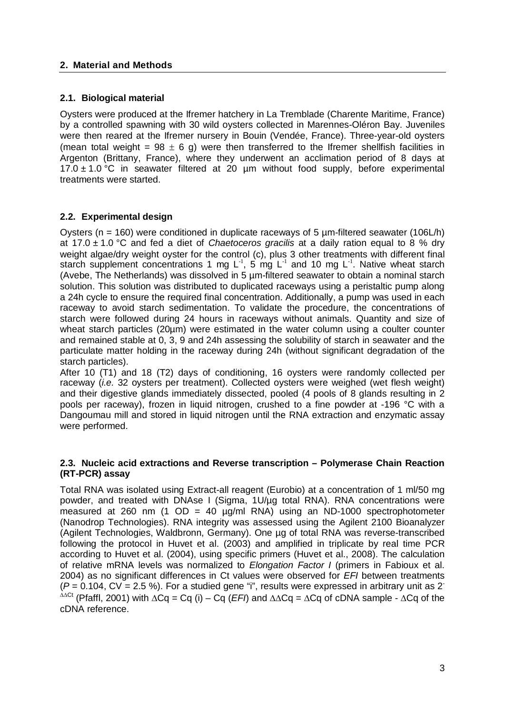### **2. Material and Methods**

### **2.1. Biological material**

Oysters were produced at the Ifremer hatchery in La Tremblade (Charente Maritime, France) by a controlled spawning with 30 wild oysters collected in Marennes-Oléron Bay. Juveniles were then reared at the Ifremer nursery in Bouin (Vendée, France). Three-year-old oysters (mean total weight =  $98 \pm 6$  g) were then transferred to the Ifremer shellfish facilities in Argenton (Brittany, France), where they underwent an acclimation period of 8 days at  $17.0 \pm 1.0$  °C in seawater filtered at 20 µm without food supply, before experimental treatments were started.

### **2.2. Experimental design**

Oysters ( $n = 160$ ) were conditioned in duplicate raceways of 5  $\mu$ m-filtered seawater (106L/h) at 17.0 ± 1.0 °C and fed a diet of *Chaetoceros gracilis* at a daily ration equal to 8 % dry weight algae/dry weight oyster for the control (c), plus 3 other treatments with different final starch supplement concentrations 1 mg  $L^{-1}$ , 5 mg  $L^{-1}$  and 10 mg  $L^{-1}$ . Native wheat starch (Avebe, The Netherlands) was dissolved in 5 µm-filtered seawater to obtain a nominal starch solution. This solution was distributed to duplicated raceways using a peristaltic pump along a 24h cycle to ensure the required final concentration. Additionally, a pump was used in each raceway to avoid starch sedimentation. To validate the procedure, the concentrations of starch were followed during 24 hours in raceways without animals. Quantity and size of wheat starch particles (20µm) were estimated in the water column using a coulter counter and remained stable at 0, 3, 9 and 24h assessing the solubility of starch in seawater and the particulate matter holding in the raceway during 24h (without significant degradation of the starch particles).

After 10 (T1) and 18 (T2) days of conditioning, 16 oysters were randomly collected per raceway (*i.e.* 32 oysters per treatment). Collected oysters were weighed (wet flesh weight) and their digestive glands immediately dissected, pooled (4 pools of 8 glands resulting in 2 pools per raceway), frozen in liquid nitrogen, crushed to a fine powder at -196 °C with a Dangoumau mill and stored in liquid nitrogen until the RNA extraction and enzymatic assay were performed.

#### **2.3. Nucleic acid extractions and Reverse transcription – Polymerase Chain Reaction (RT-PCR) assay**

Total RNA was isolated using Extract-all reagent (Eurobio) at a concentration of 1 ml/50 mg powder, and treated with DNAse I (Sigma, 1U/µg total RNA). RNA concentrations were measured at 260 nm (1 OD = 40  $\mu$ g/ml RNA) using an ND-1000 spectrophotometer (Nanodrop Technologies). RNA integrity was assessed using the Agilent 2100 Bioanalyzer (Agilent Technologies, Waldbronn, Germany). One µg of total RNA was reverse-transcribed following the protocol in Huvet et al. (2003) and amplified in triplicate by real time PCR according to Huvet et al. (2004), using specific primers (Huvet et al., 2008). The calculation of relative mRNA levels was normalized to *Elongation Factor I* (primers in Fabioux et al. 2004) as no significant differences in Ct values were observed for *EFI* between treatments  $(P = 0.104, CV = 2.5$  %). For a studied gene "i", results were expressed in arbitrary unit as 2<sup>-</sup> ∆∆Ct (Pfaffl, 2001) with ∆Cq = Cq (i) – Cq (*EFI*) and ∆∆Cq = ∆Cq of cDNA sample - ∆Cq of the cDNA reference.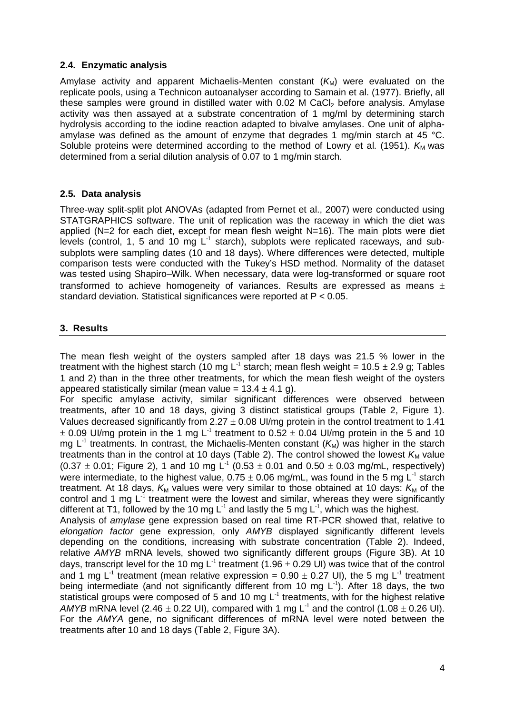# **2.4. Enzymatic analysis**

Amylase activity and apparent Michaelis-Menten constant  $(K_M)$  were evaluated on the replicate pools, using a Technicon autoanalyser according to Samain et al. (1977). Briefly, all these samples were ground in distilled water with  $0.02$  M CaCl<sub>2</sub> before analysis. Amylase activity was then assayed at a substrate concentration of 1 mg/ml by determining starch hydrolysis according to the iodine reaction adapted to bivalve amylases. One unit of alphaamylase was defined as the amount of enzyme that degrades 1 mg/min starch at 45 °C. Soluble proteins were determined according to the method of Lowry et al. (1951).  $K_M$  was determined from a serial dilution analysis of 0.07 to 1 mg/min starch.

# **2.5. Data analysis**

Three-way split-split plot ANOVAs (adapted from Pernet et al., 2007) were conducted using STATGRAPHICS software. The unit of replication was the raceway in which the diet was applied (N=2 for each diet, except for mean flesh weight N=16). The main plots were diet levels (control, 1, 5 and 10 mg  $L^{-1}$  starch), subplots were replicated raceways, and subsubplots were sampling dates (10 and 18 days). Where differences were detected, multiple comparison tests were conducted with the Tukey's HSD method. Normality of the dataset was tested using Shapiro–Wilk. When necessary, data were log-transformed or square root transformed to achieve homogeneity of variances. Results are expressed as means  $\pm$ standard deviation. Statistical significances were reported at P < 0.05.

# **3. Results**

The mean flesh weight of the oysters sampled after 18 days was 21.5 % lower in the treatment with the highest starch (10 mg L<sup>-1</sup> starch; mean flesh weight = 10.5  $\pm$  2.9 g; Tables 1 and 2) than in the three other treatments, for which the mean flesh weight of the oysters appeared statistically similar (mean value =  $13.4 \pm 4.1$  g).

For specific amylase activity, similar significant differences were observed between treatments, after 10 and 18 days, giving 3 distinct statistical groups (Table 2, Figure 1). Values decreased significantly from  $2.27 \pm 0.08$  UI/mg protein in the control treatment to 1.41  $\pm$  0.09 UI/mg protein in the 1 mg L<sup>-1</sup> treatment to 0.52  $\pm$  0.04 UI/mg protein in the 5 and 10 mg L<sup>-1</sup> treatments. In contrast, the Michaelis-Menten constant  $(K_M)$  was higher in the starch treatments than in the control at 10 days (Table 2). The control showed the lowest  $K_M$  value  $(0.37 \pm 0.01$ ; Figure 2), 1 and 10 mg L<sup>-1</sup>  $(0.53 \pm 0.01$  and 0.50  $\pm$  0.03 mg/mL, respectively) were intermediate, to the highest value,  $0.75 \pm 0.06$  mg/mL, was found in the 5 mg L<sup>-1</sup> starch treatment. At 18 days,  $K_M$  values were very similar to those obtained at 10 days:  $K_M$  of the control and 1 mg  $L<sup>1</sup>$  treatment were the lowest and similar, whereas they were significantly different at T1, followed by the 10 mg  $L^{-1}$  and lastly the 5 mg  $L^{-1}$ , which was the highest.

Analysis of *amylase* gene expression based on real time RT-PCR showed that, relative to *elongation factor* gene expression, only *AMYB* displayed significantly different levels depending on the conditions, increasing with substrate concentration (Table 2). Indeed, relative *AMYB* mRNA levels, showed two significantly different groups (Figure 3B). At 10 days, transcript level for the 10 mg  $L^{-1}$  treatment (1.96  $\pm$  0.29 UI) was twice that of the control and 1 mg L<sup>-1</sup> treatment (mean relative expression = 0.90  $\pm$  0.27 UI), the 5 mg L<sup>-1</sup> treatment being intermediate (and not significantly different from 10 mg  $L^{-1}$ ). After 18 days, the two statistical groups were composed of 5 and 10 mg  $L^{-1}$  treatments, with for the highest relative *AMYB* mRNA level (2.46  $\pm$  0.22 UI), compared with 1 mg L<sup>1</sup> and the control (1.08  $\pm$  0.26 UI). For the *AMYA* gene, no significant differences of mRNA level were noted between the treatments after 10 and 18 days (Table 2, Figure 3A).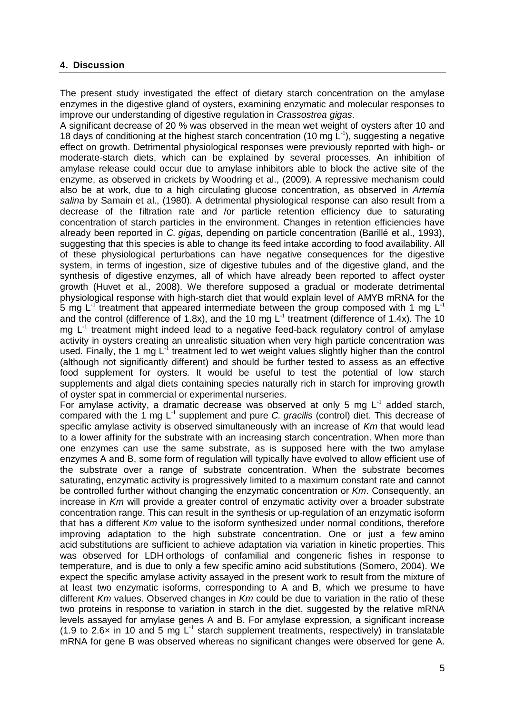# **4. Discussion**

The present study investigated the effect of dietary starch concentration on the amylase enzymes in the digestive gland of oysters, examining enzymatic and molecular responses to improve our understanding of digestive regulation in *Crassostrea gigas*.

A significant decrease of 20 % was observed in the mean wet weight of oysters after 10 and 18 days of conditioning at the highest starch concentration (10 mg  $L^{-1}$ ), suggesting a negative effect on growth. Detrimental physiological responses were previously reported with high- or moderate-starch diets, which can be explained by several processes. An inhibition of amylase release could occur due to amylase inhibitors able to block the active site of the enzyme, as observed in crickets by Woodring et al., (2009). A repressive mechanism could also be at work, due to a high circulating glucose concentration, as observed in *Artemia salina* by Samain et al., (1980). A detrimental physiological response can also result from a decrease of the filtration rate and /or particle retention efficiency due to saturating concentration of starch particles in the environment. Changes in retention efficiencies have already been reported in *C. gigas,* depending on particle concentration (Barillé et al., 1993), suggesting that this species is able to change its feed intake according to food availability. All of these physiological perturbations can have negative consequences for the digestive system, in terms of ingestion, size of digestive tubules and of the digestive gland, and the synthesis of digestive enzymes, all of which have already been reported to affect oyster growth (Huvet et al., 2008). We therefore supposed a gradual or moderate detrimental physiological response with high-starch diet that would explain level of AMYB mRNA for the 5 mg  $L^{-1}$  treatment that appeared intermediate between the group composed with 1 mg  $L^{-1}$ and the control (difference of 1.8x), and the 10 mg  $L^{-1}$  treatment (difference of 1.4x). The 10 mg  $L<sup>-1</sup>$  treatment might indeed lead to a negative feed-back regulatory control of amylase activity in oysters creating an unrealistic situation when very high particle concentration was used. Finally, the 1 mg  $L<sup>-1</sup>$  treatment led to wet weight values slightly higher than the control (although not significantly different) and should be further tested to assess as an effective food supplement for oysters. It would be useful to test the potential of low starch supplements and algal diets containing species naturally rich in starch for improving growth of oyster spat in commercial or experimental nurseries.

For amylase activity, a dramatic decrease was observed at only 5 mg  $L<sup>-1</sup>$  added starch, compared with the 1 mg L-1 supplement and pure *C. gracilis* (control) diet. This decrease of specific amylase activity is observed simultaneously with an increase of *Km* that would lead to a lower affinity for the substrate with an increasing starch concentration. When more than one enzymes can use the same substrate, as is supposed here with the two amylase enzymes A and B, some form of regulation will typically have evolved to allow efficient use of the substrate over a range of substrate concentration. When the substrate becomes saturating, enzymatic activity is progressively limited to a maximum constant rate and cannot be controlled further without changing the enzymatic concentration or *Km*. Consequently, an increase in *Km* will provide a greater control of enzymatic activity over a broader substrate concentration range. This can result in the synthesis or up-regulation of an enzymatic isoform that has a different *Km* value to the isoform synthesized under normal conditions, therefore improving adaptation to the high substrate concentration. One or just a few amino acid substitutions are sufficient to achieve adaptation via variation in kinetic properties. This was observed for LDH orthologs of confamilial and congeneric fishes in response to temperature, and is due to only a few specific amino acid substitutions (Somero, 2004). We expect the specific amylase activity assayed in the present work to result from the mixture of at least two enzymatic isoforms, corresponding to A and B, which we presume to have different *Km* values. Observed changes in *Km* could be due to variation in the ratio of these two proteins in response to variation in starch in the diet, suggested by the relative mRNA levels assayed for amylase genes A and B. For amylase expression, a significant increase (1.9 to 2.6 $\times$  in 10 and 5 mg L<sup>-1</sup> starch supplement treatments, respectively) in translatable mRNA for gene B was observed whereas no significant changes were observed for gene A.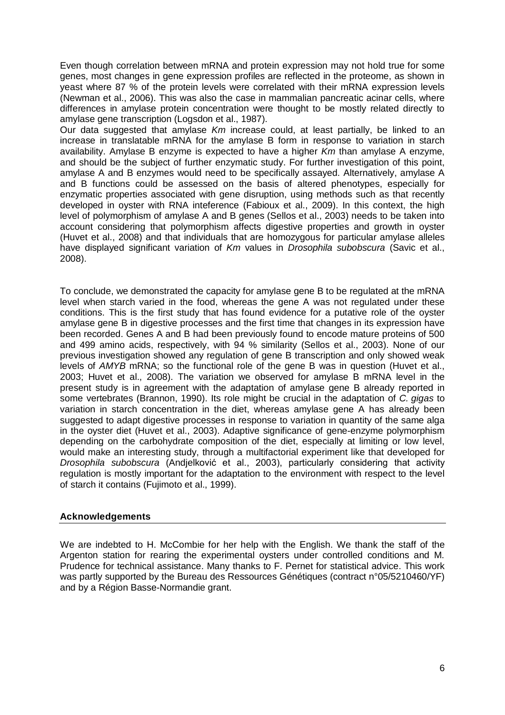Even though correlation between mRNA and protein expression may not hold true for some genes, most changes in gene expression profiles are reflected in the proteome, as shown in yeast where 87 % of the protein levels were correlated with their mRNA expression levels (Newman et al., 2006). This was also the case in mammalian pancreatic acinar cells, where differences in amylase protein concentration were thought to be mostly related directly to amylase gene transcription (Logsdon et al., 1987).

Our data suggested that amylase *Km* increase could, at least partially, be linked to an increase in translatable mRNA for the amylase B form in response to variation in starch availability. Amylase B enzyme is expected to have a higher *Km* than amylase A enzyme, and should be the subject of further enzymatic study. For further investigation of this point, amylase A and B enzymes would need to be specifically assayed. Alternatively, amylase A and B functions could be assessed on the basis of altered phenotypes, especially for enzymatic properties associated with gene disruption, using methods such as that recently developed in oyster with RNA inteference (Fabioux et al., 2009). In this context, the high level of polymorphism of amylase A and B genes (Sellos et al., 2003) needs to be taken into account considering that polymorphism affects digestive properties and growth in oyster (Huvet et al., 2008) and that individuals that are homozygous for particular amylase alleles have displayed significant variation of *Km* values in *Drosophila subobscura* (Savic et al., 2008).

To conclude, we demonstrated the capacity for amylase gene B to be regulated at the mRNA level when starch varied in the food, whereas the gene A was not regulated under these conditions. This is the first study that has found evidence for a putative role of the oyster amylase gene B in digestive processes and the first time that changes in its expression have been recorded. Genes A and B had been previously found to encode mature proteins of 500 and 499 amino acids, respectively, with 94 % similarity (Sellos et al., 2003). None of our previous investigation showed any regulation of gene B transcription and only showed weak levels of *AMYB* mRNA; so the functional role of the gene B was in question (Huvet et al., 2003; Huvet et al., 2008). The variation we observed for amylase B mRNA level in the present study is in agreement with the adaptation of amylase gene B already reported in some vertebrates (Brannon, 1990). Its role might be crucial in the adaptation of *C. gigas* to variation in starch concentration in the diet, whereas amylase gene A has already been suggested to adapt digestive processes in response to variation in quantity of the same alga in the oyster diet (Huvet et al., 2003). Adaptive significance of gene-enzyme polymorphism depending on the carbohydrate composition of the diet, especially at limiting or low level, would make an interesting study, through a multifactorial experiment like that developed for *Drosophila subobscura* (Andjelković et al., 2003), particularly considering that activity regulation is mostly important for the adaptation to the environment with respect to the level of starch it contains (Fujimoto et al., 1999).

# **Acknowledgements**

We are indebted to H. McCombie for her help with the English. We thank the staff of the Argenton station for rearing the experimental oysters under controlled conditions and M. Prudence for technical assistance. Many thanks to F. Pernet for statistical advice. This work was partly supported by the Bureau des Ressources Génétiques (contract n°05/5210460/YF) and by a Région Basse-Normandie grant.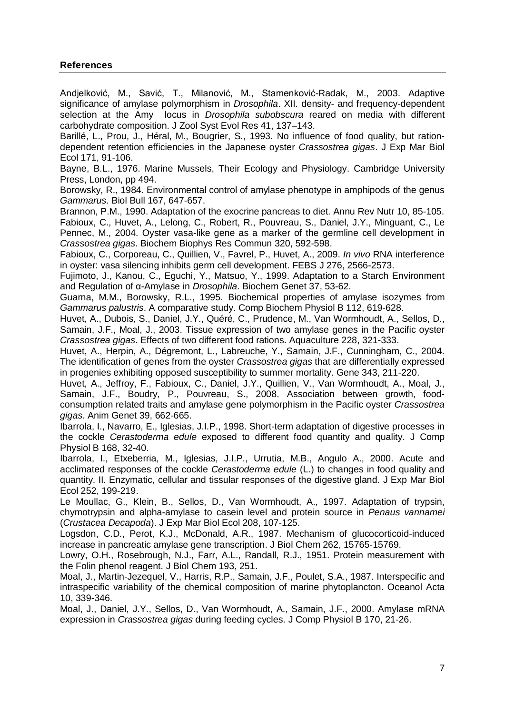# **References**

Andjelković, M., Savić, T., Milanović, M., Stamenković-Radak, M., 2003. Adaptive significance of amylase polymorphism in *Drosophila*. XII. density- and frequency-dependent selection at the Amy locus in *Drosophila subobscura* reared on media with different carbohydrate composition. J Zool Syst Evol Res 41, 137–143.

Barillé, L., Prou, J., Héral, M., Bougrier, S., 1993. No influence of food quality, but rationdependent retention efficiencies in the Japanese oyster *Crassostrea gigas*. J Exp Mar Biol Ecol 171, 91-106.

Bayne, B.L., 1976. Marine Mussels, Their Ecology and Physiology. Cambridge University Press, London, pp 494.

Borowsky, R., 1984. Environmental control of amylase phenotype in amphipods of the genus *Gammarus*. Biol Bull 167, 647-657.

Brannon, P.M., 1990. Adaptation of the exocrine pancreas to diet. Annu Rev Nutr 10, 85-105. Fabioux, C., Huvet, A., Lelong, C., Robert, R., Pouvreau, S., Daniel, J.Y., Minguant, C., Le Pennec, M., 2004. Oyster vasa-like gene as a marker of the germline cell development in *Crassostrea gigas*. Biochem Biophys Res Commun 320, 592-598.

Fabioux, C., Corporeau, C., Quillien, V., Favrel, P., Huvet, A., 2009. *In vivo* RNA interference in oyster: vasa silencing inhibits germ cell development. FEBS J 276, 2566-2573.

Fujimoto, J., Kanou, C., Eguchi, Y., Matsuo, Y., 1999. Adaptation to a Starch Environment and Regulation of α-Amylase in *Drosophila*. Biochem Genet 37, 53-62.

Guarna, M.M., Borowsky, R.L., 1995. Biochemical properties of amylase isozymes from *Gammarus palustris*. A comparative study. Comp Biochem Physiol B 112, 619-628.

Huvet, A., Dubois, S., Daniel, J.Y., Quéré, C., Prudence, M., Van Wormhoudt, A., Sellos, D., Samain, J.F., Moal, J., 2003. Tissue expression of two amylase genes in the Pacific oyster *Crassostrea gigas*. Effects of two different food rations. Aquaculture 228, 321-333.

Huvet, A., Herpin, A., Dégremont, L., Labreuche, Y., Samain, J.F., Cunningham, C., 2004. The identification of genes from the oyster *Crassostrea gigas* that are differentially expressed in progenies exhibiting opposed susceptibility to summer mortality. Gene 343, 211-220.

Huvet, A., Jeffroy, F., Fabioux, C., Daniel, J.Y., Quillien, V., Van Wormhoudt, A., Moal, J., Samain, J.F., Boudry, P., Pouvreau, S., 2008. Association between growth, foodconsumption related traits and amylase gene polymorphism in the Pacific oyster *Crassostrea gigas*. Anim Genet 39, 662-665.

Ibarrola, I., Navarro, E., Iglesias, J.I.P., 1998. Short-term adaptation of digestive processes in the cockle *Cerastoderma edule* exposed to different food quantity and quality. J Comp Physiol B 168, 32-40.

Ibarrola, I., Etxeberria, M., Iglesias, J.I.P., Urrutia, M.B., Angulo A., 2000. Acute and acclimated responses of the cockle *Cerastoderma edule* (L.) to changes in food quality and quantity. II. Enzymatic, cellular and tissular responses of the digestive gland. J Exp Mar Biol Ecol 252, 199-219.

Le Moullac, G., Klein, B., Sellos, D., Van Wormhoudt, A., 1997. Adaptation of trypsin, chymotrypsin and alpha-amylase to casein level and protein source in *Penaus vannamei* (*Crustacea Decapoda*). J Exp Mar Biol Ecol 208, 107-125.

Logsdon, C.D., Perot, K.J., McDonald, A.R., 1987. Mechanism of glucocorticoid-induced increase in pancreatic amylase gene transcription. J Biol Chem 262, 15765-15769.

Lowry, O.H., Rosebrough, N.J., Farr, A.L., Randall, R.J., 1951. Protein measurement with the Folin phenol reagent. J Biol Chem 193, 251.

Moal, J., Martin-Jezequel, V., Harris, R.P., Samain, J.F., Poulet, S.A., 1987. Interspecific and intraspecific variability of the chemical composition of marine phytoplancton. Oceanol Acta 10, 339-346.

Moal, J., Daniel, J.Y., Sellos, D., Van Wormhoudt, A., Samain, J.F., 2000. Amylase mRNA expression in *Crassostrea gigas* during feeding cycles. J Comp Physiol B 170, 21-26.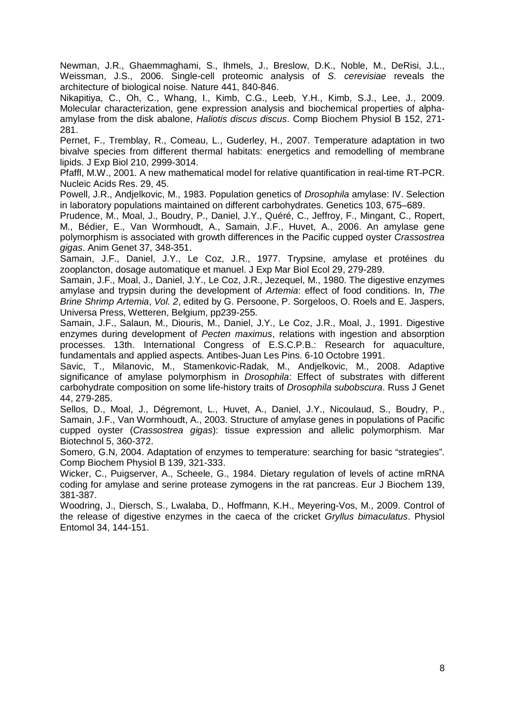Newman, J.R., Ghaemmaghami, S., Ihmels, J., Breslow, D.K., Noble, M., DeRisi, J.L., Weissman, J.S., 2006. Single-cell proteomic analysis of *S. cerevisiae* reveals the architecture of biological noise. Nature 441, 840-846.

Nikapitiya, C., Oh, C., Whang, I., Kimb, C.G., Leeb, Y.H., Kimb, S.J., Lee, J., 2009. Molecular characterization, gene expression analysis and biochemical properties of alphaamylase from the disk abalone, *Haliotis discus discus*. Comp Biochem Physiol B 152, 271- 281.

Pernet, F., Tremblay, R., Comeau, L., Guderley, H., 2007. Temperature adaptation in two bivalve species from different thermal habitats: energetics and remodelling of membrane lipids. J Exp Biol 210, 2999-3014.

Pfaffl, M.W., 2001. A new mathematical model for relative quantification in real-time RT-PCR. Nucleic Acids Res. 29, 45.

Powell, J.R., Andjelkovic, M., 1983. Population genetics of *Drosophila* amylase: IV. Selection in laboratory populations maintained on different carbohydrates. Genetics 103, 675–689.

Prudence, M., Moal, J., Boudry, P., Daniel, J.Y., Quéré, C., Jeffroy, F., Mingant, C., Ropert, M., Bédier, E., Van Wormhoudt, A., Samain, J.F., Huvet, A., 2006. An amylase gene polymorphism is associated with growth differences in the Pacific cupped oyster *Crassostrea gigas*. Anim Genet 37, 348-351.

Samain, J.F., Daniel, J.Y., Le Coz, J.R., 1977. Trypsine, amylase et protéines du zooplancton, dosage automatique et manuel. J Exp Mar Biol Ecol 29, 279-289.

Samain, J.F., Moal, J., Daniel, J.Y., Le Coz, J.R., Jezequel, M., 1980. The digestive enzymes amylase and trypsin during the development of *Artemia*: effect of food conditions. In, *The Brine Shrimp Artemia*, *Vol. 2*, edited by G. Persoone, P. Sorgeloos, O. Roels and E. Jaspers, Universa Press, Wetteren, Belgium, pp239-255.

Samain, J.F., Salaun, M., Diouris, M., Daniel, J.Y., Le Coz, J.R., Moal, J., 1991. Digestive enzymes during development of *Pecten maximus*, relations with ingestion and absorption processes. 13th. International Congress of E.S.C.P.B.: Research for aquaculture, fundamentals and applied aspects. Antibes-Juan Les Pins. 6-10 Octobre 1991.

Savic, T., Milanovic, M., Stamenkovic-Radak, M., Andjelkovic, M., 2008. Adaptive significance of amylase polymorphism in *Drosophila*: Effect of substrates with different carbohydrate composition on some life-history traits of *Drosophila subobscura*. Russ J Genet 44, 279-285.

Sellos, D., Moal, J., Dégremont, L., Huvet, A., Daniel, J.Y., Nicoulaud, S., Boudry, P., Samain, J.F., Van Wormhoudt, A., 2003. Structure of amylase genes in populations of Pacific cupped oyster (*Crassostrea gigas*): tissue expression and allelic polymorphism. Mar Biotechnol 5, 360-372.

Somero, G.N, 2004. Adaptation of enzymes to temperature: searching for basic "strategies". Comp Biochem Physiol B 139, 321-333.

Wicker, C., Puigserver, A., Scheele, G., 1984. Dietary regulation of levels of actine mRNA coding for amylase and serine protease zymogens in the rat pancreas. Eur J Biochem 139, 381-387.

Woodring, J., Diersch, S., Lwalaba, D., Hoffmann, K.H., Meyering-Vos, M., 2009. Control of the release of digestive enzymes in the caeca of the cricket *Gryllus bimaculatus*. Physiol Entomol 34, 144-151.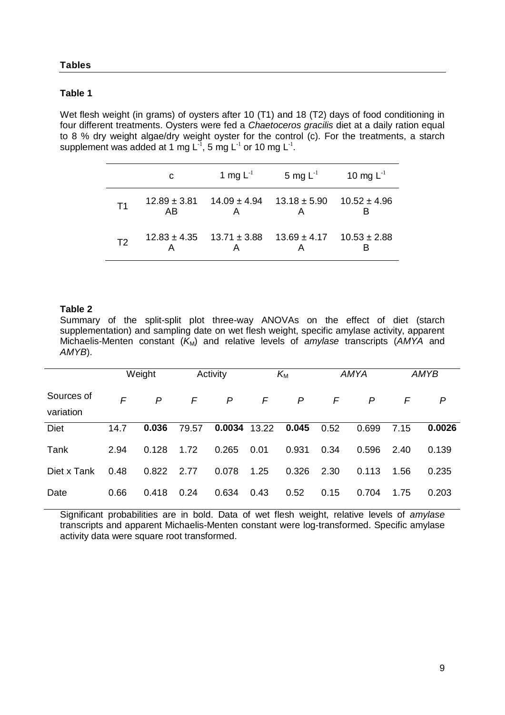#### **Tables**

#### **Table 1**

Wet flesh weight (in grams) of oysters after 10 (T1) and 18 (T2) days of food conditioning in four different treatments. Oysters were fed a *Chaetoceros gracilis* diet at a daily ration equal to 8 % dry weight algae/dry weight oyster for the control (c). For the treatments, a starch supplement was added at 1 mg  $L^{-1}$ , 5 mg  $L^{-1}$  or 10 mg  $L^{-1}$ .

|                | C  | 1 mg $L^{-1}$ | 5 mg L $^{\text{-}1}$                                               | 10 mg $L^{-1}$ |
|----------------|----|---------------|---------------------------------------------------------------------|----------------|
| T1             | AB |               | $12.89 \pm 3.81$ $14.09 \pm 4.94$ $13.18 \pm 5.90$ $10.52 \pm 4.96$ |                |
| T <sub>2</sub> |    |               | $12.83 \pm 4.35$ $13.71 \pm 3.88$ $13.69 \pm 4.17$ $10.53 \pm 2.88$ |                |

### **Table 2**

Summary of the split-split plot three-way ANOVAs on the effect of diet (starch supplementation) and sampling date on wet flesh weight, specific amylase activity, apparent Michaelis-Menten constant  $(K_M)$  and relative levels of *amylase* transcripts  $(AMYA$  and *AMYB*).

|                         |      | Weight |       | Activity     |       | $K_{\text{M}}$ |      | AMYA  |      | AMYB   |
|-------------------------|------|--------|-------|--------------|-------|----------------|------|-------|------|--------|
| Sources of<br>variation | F    | P      | F     | $\mathsf{P}$ | F     | $\mathsf{P}$   | F    | P     | F    | P      |
| <b>Diet</b>             | 14.7 | 0.036  | 79.57 | 0.0034       | 13.22 | 0.045          | 0.52 | 0.699 | 7.15 | 0.0026 |
| Tank                    | 2.94 | 0.128  | 1.72  | 0.265        | 0.01  | 0.931          | 0.34 | 0.596 | 2.40 | 0.139  |
| Diet x Tank             | 0.48 | 0.822  | 2.77  | 0.078        | 1.25  | 0.326          | 2.30 | 0.113 | 1.56 | 0.235  |
| Date                    | 0.66 | 0.418  | 0.24  | 0.634        | 0.43  | 0.52           | 0.15 | 0.704 | 1.75 | 0.203  |

Significant probabilities are in bold. Data of wet flesh weight, relative levels of *amylase* transcripts and apparent Michaelis-Menten constant were log-transformed. Specific amylase activity data were square root transformed.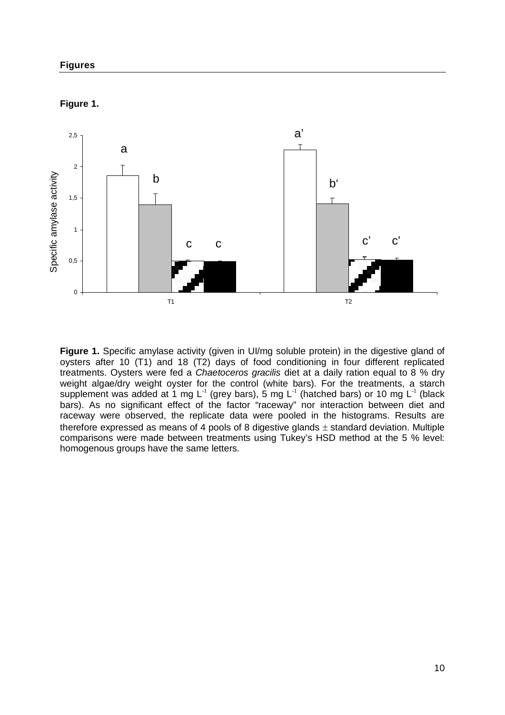



**Figure 1.** Specific amylase activity (given in UI/mg soluble protein) in the digestive gland of oysters after 10 (T1) and 18 (T2) days of food conditioning in four different replicated treatments. Oysters were fed a *Chaetoceros gracilis* diet at a daily ration equal to 8 % dry weight algae/dry weight oyster for the control (white bars). For the treatments, a starch supplement was added at 1 mg L<sup>-1</sup> (grey bars), 5 mg L<sup>-1</sup> (hatched bars) or 10 mg L<sup>-1</sup> (black bars). As no significant effect of the factor "raceway" nor interaction between diet and raceway were observed, the replicate data were pooled in the histograms. Results are therefore expressed as means of 4 pools of 8 digestive glands  $\pm$  standard deviation. Multiple comparisons were made between treatments using Tukey's HSD method at the 5 % level: homogenous groups have the same letters.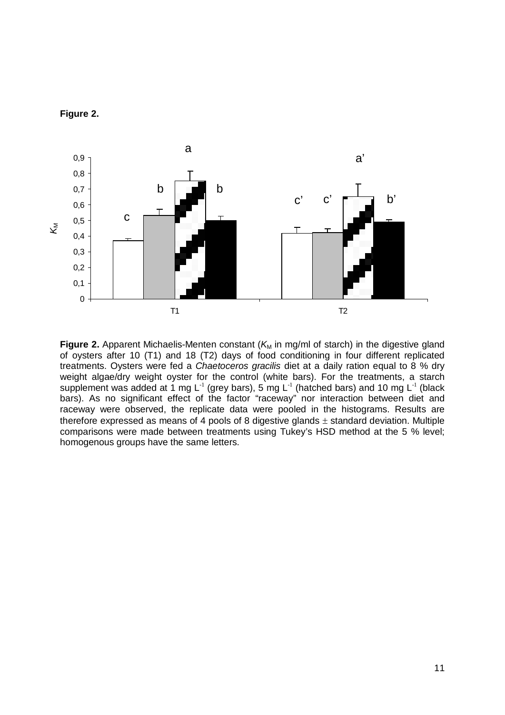



**Figure 2.** Apparent Michaelis-Menten constant ( $K_M$  in mg/ml of starch) in the digestive gland of oysters after 10 (T1) and 18 (T2) days of food conditioning in four different replicated treatments. Oysters were fed a *Chaetoceros gracilis* diet at a daily ration equal to 8 % dry weight algae/dry weight oyster for the control (white bars). For the treatments, a starch supplement was added at 1 mg L<sup>-1</sup> (grey bars), 5 mg L<sup>-1</sup> (hatched bars) and 10 mg L<sup>-1</sup> (black bars). As no significant effect of the factor "raceway" nor interaction between diet and raceway were observed, the replicate data were pooled in the histograms. Results are therefore expressed as means of 4 pools of 8 digestive glands  $\pm$  standard deviation. Multiple comparisons were made between treatments using Tukey's HSD method at the 5 % level; homogenous groups have the same letters.